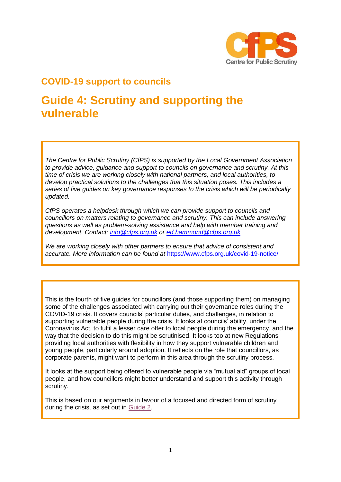

# **COVID-19 support to councils**

# **Guide 4: Scrutiny and supporting the vulnerable**

*The Centre for Public Scrutiny (CfPS) is supported by the Local Government Association to provide advice, guidance and support to councils on governance and scrutiny. At this time of crisis we are working closely with national partners, and local authorities, to develop practical solutions to the challenges that this situation poses. This includes a series of five guides on key governance responses to the crisis which will be periodically updated.*

*CfPS operates a helpdesk through which we can provide support to councils and councillors on matters relating to governance and scrutiny. This can include answering questions as well as problem-solving assistance and help with member training and development. Contact: [info@cfps.org.uk](mailto:info@cfps.org.uk) or [ed.hammond@cfps.org.uk](mailto:ed.hammond@cfps.org.uk)* 

*We are working closely with other partners to ensure that advice of consistent and accurate. More information can be found at* <https://www.cfps.org.uk/covid-19-notice/>

This is the fourth of five guides for councillors (and those supporting them) on managing some of the challenges associated with carrying out their governance roles during the COVID-19 crisis. It covers councils' particular duties, and challenges, in relation to supporting vulnerable people during the crisis. It looks at councils' ability, under the Coronavirus Act, to fulfil a lesser care offer to local people during the emergency, and the way that the decision to do this might be scrutinised. It looks too at new Regulations providing local authorities with flexibility in how they support vulnerable children and young people, particularly around adoption. It reflects on the role that councillors, as corporate parents, might want to perform in this area through the scrutiny process.

It looks at the support being offered to vulnerable people via "mutual aid" groups of local people, and how councillors might better understand and support this activity through scrutiny.

This is based on our arguments in favour of a focused and directed form of scrutiny during the crisis, as set out in [Guide 2.](https://www.cfps.org.uk/?publication=covid-19-guide-2-scrutiny)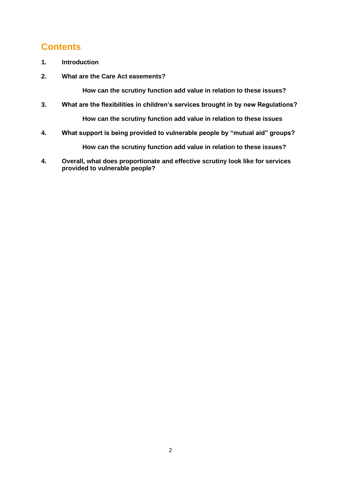# **Contents**

- **1. Introduction**
- **2. What are the Care Act easements?**

**How can the scrutiny function add value in relation to these issues?**

- **3. What are the flexibilities in children's services brought in by new Regulations? How can the scrutiny function add value in relation to these issues**
- **4. What support is being provided to vulnerable people by "mutual aid" groups?**

**How can the scrutiny function add value in relation to these issues?**

**4. Overall, what does proportionate and effective scrutiny look like for services provided to vulnerable people?**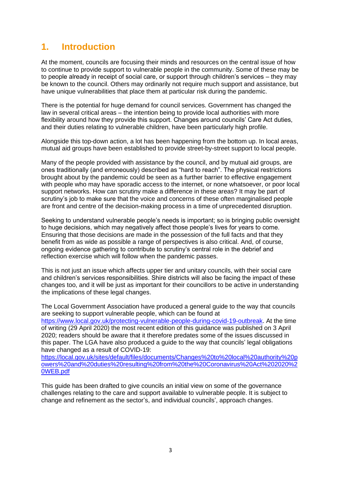# **1. Introduction**

At the moment, councils are focusing their minds and resources on the central issue of how to continue to provide support to vulnerable people in the community. Some of these may be to people already in receipt of social care, or support through children's services – they may be known to the council. Others may ordinarily not require much support and assistance, but have unique vulnerabilities that place them at particular risk during the pandemic.

There is the potential for huge demand for council services. Government has changed the law in several critical areas – the intention being to provide local authorities with more flexibility around how they provide this support. Changes around councils' Care Act duties, and their duties relating to vulnerable children, have been particularly high profile.

Alongside this top-down action, a lot has been happening from the bottom up. In local areas, mutual aid groups have been established to provide street-by-street support to local people.

Many of the people provided with assistance by the council, and by mutual aid groups, are ones traditionally (and erroneously) described as "hard to reach". The physical restrictions brought about by the pandemic could be seen as a further barrier to effective engagement with people who may have sporadic access to the internet, or none whatsoever, or poor local support networks. How can scrutiny make a difference in these areas? It may be part of scrutiny's job to make sure that the voice and concerns of these often marginalised people are front and centre of the decision-making process in a time of unprecedented disruption.

Seeking to understand vulnerable people's needs is important; so is bringing public oversight to huge decisions, which may negatively affect those people's lives for years to come. Ensuring that those decisions are made in the possession of the full facts and that they benefit from as wide as possible a range of perspectives is also critical. And, of course, ongoing evidence gathering to contribute to scrutiny's central role in the debrief and reflection exercise which will follow when the pandemic passes.

This is not just an issue which affects upper tier and unitary councils, with their social care and children's services responsibilities. Shire districts will also be facing the impact of these changes too, and it will be just as important for their councillors to be active in understanding the implications of these legal changes.

The Local Government Association have produced a general guide to the way that councils are seeking to support vulnerable people, which can be found at [https://www.local.gov.uk/protecting-vulnerable-people-during-covid-19-outbreak.](https://www.local.gov.uk/protecting-vulnerable-people-during-covid-19-outbreak) At the time of writing (29 April 2020) the most recent edition of this guidance was published on 3 April 2020; readers should be aware that it therefore predates some of the issues discussed in this paper. The LGA have also produced a guide to the way that councils' legal obligations have changed as a result of COVID-19:

[https://local.gov.uk/sites/default/files/documents/Changes%20to%20local%20authority%20p](https://local.gov.uk/sites/default/files/documents/Changes%20to%20local%20authority%20powers%20and%20duties%20resulting%20from%20the%20Coronavirus%20Act%202020%20WEB.pdf) [owers%20and%20duties%20resulting%20from%20the%20Coronavirus%20Act%202020%2](https://local.gov.uk/sites/default/files/documents/Changes%20to%20local%20authority%20powers%20and%20duties%20resulting%20from%20the%20Coronavirus%20Act%202020%20WEB.pdf) [0WEB.pdf](https://local.gov.uk/sites/default/files/documents/Changes%20to%20local%20authority%20powers%20and%20duties%20resulting%20from%20the%20Coronavirus%20Act%202020%20WEB.pdf)

This guide has been drafted to give councils an initial view on some of the governance challenges relating to the care and support available to vulnerable people. It is subject to change and refinement as the sector's, and individual councils', approach changes.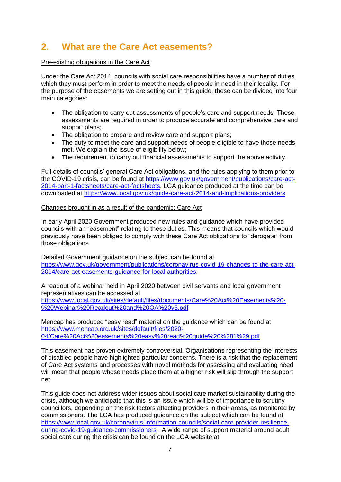# **2. What are the Care Act easements?**

### Pre-existing obligations in the Care Act

Under the Care Act 2014, councils with social care responsibilities have a number of duties which they must perform in order to meet the needs of people in need in their locality. For the purpose of the easements we are setting out in this guide, these can be divided into four main categories:

- The obligation to carry out assessments of people's care and support needs. These assessments are required in order to produce accurate and comprehensive care and support plans;
- The obligation to prepare and review care and support plans;
- The duty to meet the care and support needs of people eligible to have those needs met. We explain the issue of eligibility below;
- The requirement to carry out financial assessments to support the above activity.

Full details of councils' general Care Act obligations, and the rules applying to them prior to the COVID-19 crisis, can be found at [https://www.gov.uk/government/publications/care-act-](https://www.gov.uk/government/publications/care-act-2014-part-1-factsheets/care-act-factsheets)[2014-part-1-factsheets/care-act-factsheets.](https://www.gov.uk/government/publications/care-act-2014-part-1-factsheets/care-act-factsheets) LGA guidance produced at the time can be downloaded at<https://www.local.gov.uk/guide-care-act-2014-and-implications-providers>

#### Changes brought in as a result of the pandemic: Care Act

In early April 2020 Government produced new rules and guidance which have provided councils with an "easement" relating to these duties. This means that councils which would previously have been obliged to comply with these Care Act obligations to "derogate" from those obligations.

Detailed Government guidance on the subject can be found at [https://www.gov.uk/government/publications/coronavirus-covid-19-changes-to-the-care-act-](https://www.gov.uk/government/publications/coronavirus-covid-19-changes-to-the-care-act-2014/care-act-easements-guidance-for-local-authorities)[2014/care-act-easements-guidance-for-local-authorities.](https://www.gov.uk/government/publications/coronavirus-covid-19-changes-to-the-care-act-2014/care-act-easements-guidance-for-local-authorities)

A readout of a webinar held in April 2020 between civil servants and local government representatives can be accessed at [https://www.local.gov.uk/sites/default/files/documents/Care%20Act%20Easements%20-](https://www.local.gov.uk/sites/default/files/documents/Care%20Act%20Easements%20-%20Webinar%20Readout%20and%20QA%20v3.pdf) [%20Webinar%20Readout%20and%20QA%20v3.pdf](https://www.local.gov.uk/sites/default/files/documents/Care%20Act%20Easements%20-%20Webinar%20Readout%20and%20QA%20v3.pdf)

Mencap has produced "easy read" material on the guidance which can be found at [https://www.mencap.org.uk/sites/default/files/2020-](https://www.mencap.org.uk/sites/default/files/2020-04/Care%20Act%20easements%20easy%20read%20guide%20%281%29.pdf) [04/Care%20Act%20easements%20easy%20read%20guide%20%281%29.pdf](https://www.mencap.org.uk/sites/default/files/2020-04/Care%20Act%20easements%20easy%20read%20guide%20%281%29.pdf)

This easement has proven extremely controversial. Organisations representing the interests of disabled people have highlighted particular concerns. There is a risk that the replacement of Care Act systems and processes with novel methods for assessing and evaluating need will mean that people whose needs place them at a higher risk will slip through the support net.

This guide does not address wider issues about social care market sustainability during the crisis, although we anticipate that this is an issue which will be of importance to scrutiny councillors, depending on the risk factors affecting providers in their areas, as monitored by commissioners. The LGA has produced guidance on the subject which can be found at [https://www.local.gov.uk/coronavirus-information-councils/social-care-provider-resilience](https://www.local.gov.uk/coronavirus-information-councils/social-care-provider-resilience-during-covid-19-guidance-commissioners)[during-covid-19-guidance-commissioners](https://www.local.gov.uk/coronavirus-information-councils/social-care-provider-resilience-during-covid-19-guidance-commissioners) . A wide range of support material around adult social care during the crisis can be found on the LGA website at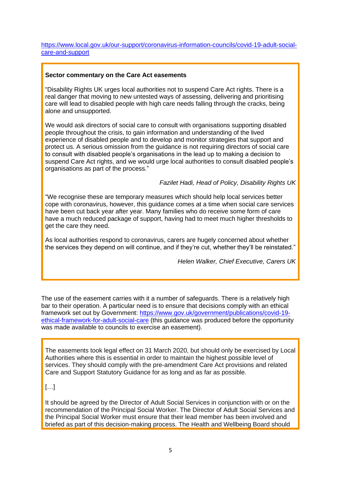[https://www.local.gov.uk/our-support/coronavirus-information-councils/covid-19-adult-social](https://www.local.gov.uk/our-support/coronavirus-information-councils/covid-19-adult-social-care-and-support)[care-and-support](https://www.local.gov.uk/our-support/coronavirus-information-councils/covid-19-adult-social-care-and-support)

#### **Sector commentary on the Care Act easements**

"Disability Rights UK urges local authorities not to suspend Care Act rights. There is a real danger that moving to new untested ways of assessing, delivering and prioritising care will lead to disabled people with high care needs falling through the cracks, being alone and unsupported.

We would ask directors of social care to consult with organisations supporting disabled people throughout the crisis, to gain information and understanding of the lived experience of disabled people and to develop and monitor strategies that support and protect us. A serious omission from the guidance is not requiring directors of social care to consult with disabled people's organisations in the lead up to making a decision to suspend Care Act rights, and we would urge local authorities to consult disabled people's organisations as part of the process."

*Fazilet Hadi, Head of Policy, Disability Rights UK*

"We recognise these are temporary measures which should help local services better cope with coronavirus, however, this guidance comes at a time when social care services have been cut back year after year. Many families who do receive some form of care have a much reduced package of support, having had to meet much higher thresholds to get the care they need.

As local authorities respond to coronavirus, carers are hugely concerned about whether the services they depend on will continue, and if they're cut, whether they'll be reinstated."

*Helen Walker, Chief Executive, Carers UK*

The use of the easement carries with it a number of safeguards. There is a relatively high bar to their operation. A particular need is to ensure that decisions comply with an ethical framework set out by Government: [https://www.gov.uk/government/publications/covid-19](https://www.gov.uk/government/publications/covid-19-ethical-framework-for-adult-social-care) [ethical-framework-for-adult-social-care](https://www.gov.uk/government/publications/covid-19-ethical-framework-for-adult-social-care) (this guidance was produced before the opportunity was made available to councils to exercise an easement).

The easements took legal effect on 31 March 2020, but should only be exercised by Local Authorities where this is essential in order to maintain the highest possible level of services. They should comply with the pre-amendment Care Act provisions and related Care and Support Statutory Guidance for as long and as far as possible.

# […]

It should be agreed by the Director of Adult Social Services in conjunction with or on the recommendation of the Principal Social Worker. The Director of Adult Social Services and the Principal Social Worker must ensure that their lead member has been involved and briefed as part of this decision-making process. The Health and Wellbeing Board should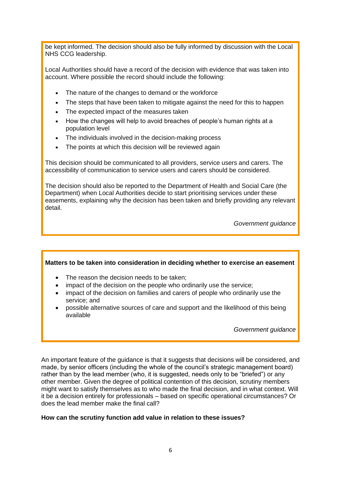be kept informed. The decision should also be fully informed by discussion with the Local NHS CCG leadership.

Local Authorities should have a record of the decision with evidence that was taken into account. Where possible the record should include the following:

- The nature of the changes to demand or the workforce
- The steps that have been taken to mitigate against the need for this to happen
- The expected impact of the measures taken
- How the changes will help to avoid breaches of people's human rights at a population level
- The individuals involved in the decision-making process
- The points at which this decision will be reviewed again

This decision should be communicated to all providers, service users and carers. The accessibility of communication to service users and carers should be considered.

The decision should also be reported to the Department of Health and Social Care (the Department) when Local Authorities decide to start prioritising services under these easements, explaining why the decision has been taken and briefly providing any relevant detail.

*Government guidance*

### **Matters to be taken into consideration in deciding whether to exercise an easement**

- The reason the decision needs to be taken;
- impact of the decision on the people who ordinarily use the service;
- impact of the decision on families and carers of people who ordinarily use the service; and
- possible alternative sources of care and support and the likelihood of this being available

*Government guidance*

An important feature of the guidance is that it suggests that decisions will be considered, and made, by senior officers (including the whole of the council's strategic management board) rather than by the lead member (who, it is suggested, needs only to be "briefed") or any other member. Given the degree of political contention of this decision, scrutiny members might want to satisfy themselves as to who made the final decision, and in what context. Will it be a decision entirely for professionals – based on specific operational circumstances? Or does the lead member make the final call?

### **How can the scrutiny function add value in relation to these issues?**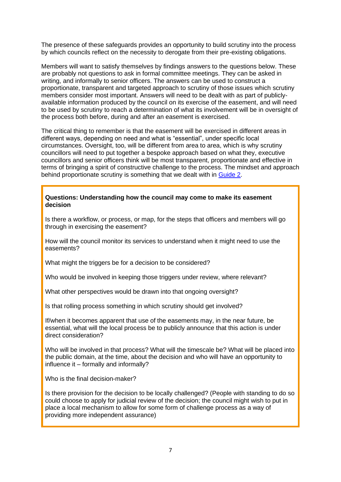The presence of these safeguards provides an opportunity to build scrutiny into the process by which councils reflect on the necessity to derogate from their pre-existing obligations.

Members will want to satisfy themselves by findings answers to the questions below. These are probably not questions to ask in formal committee meetings. They can be asked in writing, and informally to senior officers. The answers can be used to construct a proportionate, transparent and targeted approach to scrutiny of those issues which scrutiny members consider most important. Answers will need to be dealt with as part of publiclyavailable information produced by the council on its exercise of the easement, and will need to be used by scrutiny to reach a determination of what its involvement will be in oversight of the process both before, during and after an easement is exercised.

The critical thing to remember is that the easement will be exercised in different areas in different ways, depending on need and what is "essential", under specific local circumstances. Oversight, too, will be different from area to area, which is why scrutiny councillors will need to put together a bespoke approach based on what they, executive councillors and senior officers think will be most transparent, proportionate and effective in terms of bringing a spirit of constructive challenge to the process. The mindset and approach behind proportionate scrutiny is something that we dealt with in [Guide 2.](https://www.cfps.org.uk/?publication=covid-19-guide-2-scrutiny)

#### **Questions: Understanding how the council may come to make its easement decision**

Is there a workflow, or process, or map, for the steps that officers and members will go through in exercising the easement?

How will the council monitor its services to understand when it might need to use the easements?

What might the triggers be for a decision to be considered?

Who would be involved in keeping those triggers under review, where relevant?

What other perspectives would be drawn into that ongoing oversight?

Is that rolling process something in which scrutiny should get involved?

If/when it becomes apparent that use of the easements may, in the near future, be essential, what will the local process be to publicly announce that this action is under direct consideration?

Who will be involved in that process? What will the timescale be? What will be placed into the public domain, at the time, about the decision and who will have an opportunity to influence it – formally and informally?

Who is the final decision-maker?

Is there provision for the decision to be locally challenged? (People with standing to do so could choose to apply for judicial review of the decision; the council might wish to put in place a local mechanism to allow for some form of challenge process as a way of providing more independent assurance)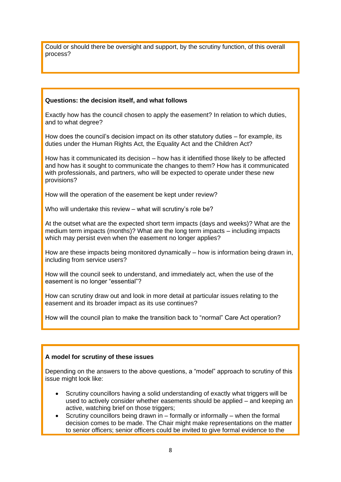Could or should there be oversight and support, by the scrutiny function, of this overall process?

# **Questions: the decision itself, and what follows**

Exactly how has the council chosen to apply the easement? In relation to which duties, and to what degree?

How does the council's decision impact on its other statutory duties – for example, its duties under the Human Rights Act, the Equality Act and the Children Act?

How has it communicated its decision – how has it identified those likely to be affected and how has it sought to communicate the changes to them? How has it communicated with professionals, and partners, who will be expected to operate under these new provisions?

How will the operation of the easement be kept under review?

Who will undertake this review – what will scrutiny's role be?

At the outset what are the expected short term impacts (days and weeks)? What are the medium term impacts (months)? What are the long term impacts – including impacts which may persist even when the easement no longer applies?

How are these impacts being monitored dynamically – how is information being drawn in, including from service users?

How will the council seek to understand, and immediately act, when the use of the easement is no longer "essential"?

How can scrutiny draw out and look in more detail at particular issues relating to the easement and its broader impact as its use continues?

How will the council plan to make the transition back to "normal" Care Act operation?

# **A model for scrutiny of these issues**

Depending on the answers to the above questions, a "model" approach to scrutiny of this issue might look like:

- Scrutiny councillors having a solid understanding of exactly what triggers will be used to actively consider whether easements should be applied – and keeping an active, watching brief on those triggers;
- Scrutiny councillors being drawn in  $-$  formally or informally  $-$  when the formal decision comes to be made. The Chair might make representations on the matter to senior officers; senior officers could be invited to give formal evidence to the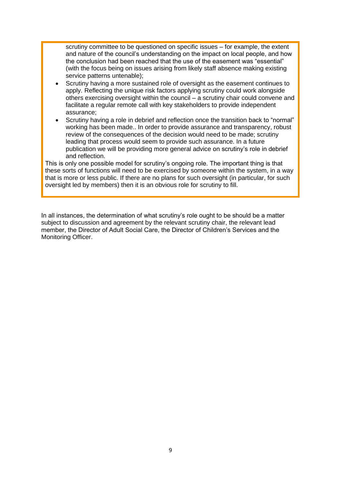scrutiny committee to be questioned on specific issues – for example, the extent and nature of the council's understanding on the impact on local people, and how the conclusion had been reached that the use of the easement was "essential" (with the focus being on issues arising from likely staff absence making existing service patterns untenable);

- Scrutiny having a more sustained role of oversight as the easement continues to apply. Reflecting the unique risk factors applying scrutiny could work alongside others exercising oversight within the council – a scrutiny chair could convene and facilitate a regular remote call with key stakeholders to provide independent assurance;
- Scrutiny having a role in debrief and reflection once the transition back to "normal" working has been made.. In order to provide assurance and transparency, robust review of the consequences of the decision would need to be made; scrutiny leading that process would seem to provide such assurance. In a future publication we will be providing more general advice on scrutiny's role in debrief and reflection.

This is only one possible model for scrutiny's ongoing role. The important thing is that these sorts of functions will need to be exercised by someone within the system, in a way that is more or less public. If there are no plans for such oversight (in particular, for such oversight led by members) then it is an obvious role for scrutiny to fill.

In all instances, the determination of what scrutiny's role ought to be should be a matter subject to discussion and agreement by the relevant scrutiny chair, the relevant lead member, the Director of Adult Social Care, the Director of Children's Services and the Monitoring Officer.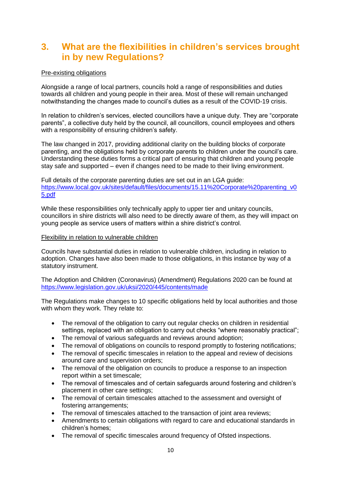# **3. What are the flexibilities in children's services brought in by new Regulations?**

# Pre-existing obligations

Alongside a range of local partners, councils hold a range of responsibilities and duties towards all children and young people in their area. Most of these will remain unchanged notwithstanding the changes made to council's duties as a result of the COVID-19 crisis.

In relation to children's services, elected councillors have a unique duty. They are "corporate parents", a collective duty held by the council, all councillors, council employees and others with a responsibility of ensuring children's safety.

The law changed in 2017, providing additional clarity on the building blocks of corporate parenting, and the obligations held by corporate parents to children under the council's care. Understanding these duties forms a critical part of ensuring that children and young people stay safe and supported – even if changes need to be made to their living environment.

Full details of the corporate parenting duties are set out in an LGA guide: [https://www.local.gov.uk/sites/default/files/documents/15.11%20Corporate%20parenting\\_v0](https://www.local.gov.uk/sites/default/files/documents/15.11%20Corporate%20parenting_v05.pdf) [5.pdf](https://www.local.gov.uk/sites/default/files/documents/15.11%20Corporate%20parenting_v05.pdf)

While these responsibilities only technically apply to upper tier and unitary councils, councillors in shire districts will also need to be directly aware of them, as they will impact on young people as service users of matters within a shire district's control.

#### Flexibility in relation to vulnerable children

Councils have substantial duties in relation to vulnerable children, including in relation to adoption. Changes have also been made to those obligations, in this instance by way of a statutory instrument.

The Adoption and Children (Coronavirus) (Amendment) Regulations 2020 can be found at <https://www.legislation.gov.uk/uksi/2020/445/contents/made>

The Regulations make changes to 10 specific obligations held by local authorities and those with whom they work. They relate to:

- The removal of the obligation to carry out regular checks on children in residential settings, replaced with an obligation to carry out checks "where reasonably practical";
- The removal of various safeguards and reviews around adoption;
- The removal of obligations on councils to respond promptly to fostering notifications;
- The removal of specific timescales in relation to the appeal and review of decisions around care and supervision orders;
- The removal of the obligation on councils to produce a response to an inspection report within a set timescale;
- The removal of timescales and of certain safeguards around fostering and children's placement in other care settings;
- The removal of certain timescales attached to the assessment and oversight of fostering arrangements;
- The removal of timescales attached to the transaction of joint area reviews:
- Amendments to certain obligations with regard to care and educational standards in children's homes;
- The removal of specific timescales around frequency of Ofsted inspections.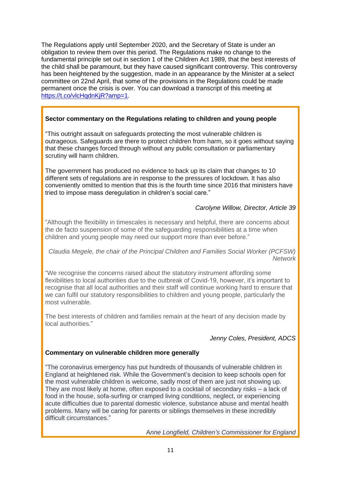The Regulations apply until September 2020, and the Secretary of State is under an obligation to review them over this period. The Regulations make no change to the fundamental principle set out in section 1 of the Children Act 1989, that the best interests of the child shall be paramount, but they have caused significant controversy. This controversy has been heightened by the suggestion, made in an appearance by the Minister at a select committee on 22nd April, that some of the provisions in the Regulations could be made permanent once the crisis is over. You can download a transcript of this meeting at [https://t.co/vlcHqdnKjR?amp=1.](https://t.co/vlcHqdnKjR?amp=1)

# **Sector commentary on the Regulations relating to children and young people**

"This outright assault on safeguards protecting the most vulnerable children is outrageous. Safeguards are there to protect children from harm, so it goes without saying that these changes forced through without any public consultation or parliamentary scrutiny will harm children.

The government has produced no evidence to back up its claim that changes to 10 different sets of regulations are in response to the pressures of lockdown. It has also conveniently omitted to mention that this is the fourth time since 2016 that ministers have tried to impose mass deregulation in children's social care*.*"

# *Carolyne Willow, Director, Article 39*

"Although the flexibility in timescales is necessary and helpful, there are concerns about the de facto suspension of some of the safeguarding responsibilities at a time when children and young people may need our support more than ever before."

*Claudia Megele, the chair of the Principal Children and Families Social Worker (PCFSW) Network*

"We recognise the concerns raised about the statutory instrument affording some flexibilities to local authorities due to the outbreak of Covid-19, however, it's important to recognise that all local authorities and their staff will continue working hard to ensure that we can fulfil our statutory responsibilities to children and young people, particularly the most vulnerable.

The best interests of children and families remain at the heart of any decision made by local authorities."

# *Jenny Coles, President, ADCS*

### **Commentary on vulnerable children more generally**

"The coronavirus emergency has put hundreds of thousands of vulnerable children in England at heightened risk. While the Government's decision to keep schools open for the most vulnerable children is welcome, sadly most of them are just not showing up. They are most likely at home, often exposed to a cocktail of secondary risks – a lack of food in the house, sofa-surfing or cramped living conditions, neglect, or experiencing acute difficulties due to parental domestic violence, substance abuse and mental health problems. Many will be caring for parents or siblings themselves in these incredibly difficult circumstances."

A*nne Longfield, Children's Commissioner for England*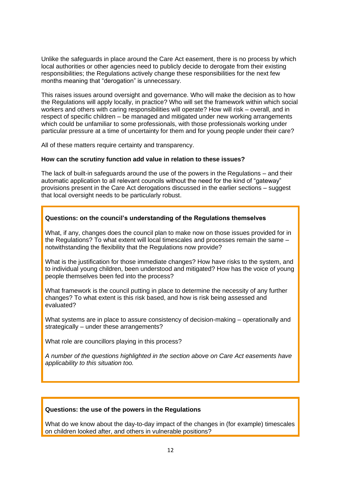Unlike the safeguards in place around the Care Act easement, there is no process by which local authorities or other agencies need to publicly decide to derogate from their existing responsibilities; the Regulations actively change these responsibilities for the next few months meaning that "derogation" is unnecessary.

This raises issues around oversight and governance. Who will make the decision as to how the Regulations will apply locally, in practice? Who will set the framework within which social workers and others with caring responsibilities will operate? How will risk – overall, and in respect of specific children – be managed and mitigated under new working arrangements which could be unfamiliar to some professionals, with those professionals working under particular pressure at a time of uncertainty for them and for young people under their care?

All of these matters require certainty and transparency.

### **How can the scrutiny function add value in relation to these issues?**

The lack of built-in safeguards around the use of the powers in the Regulations – and their automatic application to all relevant councils without the need for the kind of "gateway" provisions present in the Care Act derogations discussed in the earlier sections – suggest that local oversight needs to be particularly robust.

# **Questions: on the council's understanding of the Regulations themselves**

What, if any, changes does the council plan to make now on those issues provided for in the Regulations? To what extent will local timescales and processes remain the same – notwithstanding the flexibility that the Regulations now provide?

What is the justification for those immediate changes? How have risks to the system, and to individual young children, been understood and mitigated? How has the voice of young people themselves been fed into the process?

What framework is the council putting in place to determine the necessity of any further changes? To what extent is this risk based, and how is risk being assessed and evaluated?

What systems are in place to assure consistency of decision-making – operationally and strategically – under these arrangements?

What role are councillors playing in this process?

*A number of the questions highlighted in the section above on Care Act easements have applicability to this situation too.* 

### **Questions: the use of the powers in the Regulations**

What do we know about the day-to-day impact of the changes in (for example) timescales on children looked after, and others in vulnerable positions?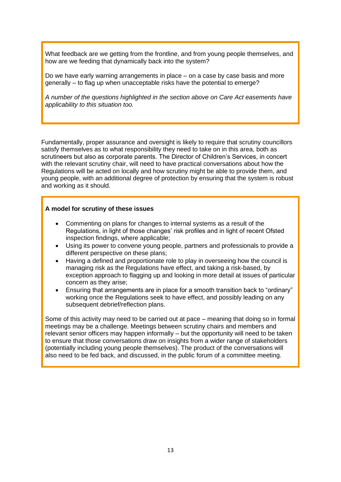What feedback are we getting from the frontline, and from young people themselves, and how are we feeding that dynamically back into the system?

Do we have early warning arrangements in place – on a case by case basis and more generally – to flag up when unacceptable risks have the potential to emerge?

*A number of the questions highlighted in the section above on Care Act easements have applicability to this situation too.* 

Fundamentally, proper assurance and oversight is likely to require that scrutiny councillors satisfy themselves as to what responsibility they need to take on in this area, both as scrutineers but also as corporate parents. The Director of Children's Services, in concert with the relevant scrutiny chair, will need to have practical conversations about how the Regulations will be acted on locally and how scrutiny might be able to provide them, and young people, with an additional degree of protection by ensuring that the system is robust and working as it should.

### **A model for scrutiny of these issues**

- Commenting on plans for changes to internal systems as a result of the Regulations, in light of those changes' risk profiles and in light of recent Ofsted inspection findings, where applicable;
- Using its power to convene young people, partners and professionals to provide a different perspective on these plans;
- Having a defined and proportionate role to play in overseeing how the council is managing risk as the Regulations have effect, and taking a risk-based, by exception approach to flagging up and looking in more detail at issues of particular concern as they arise;
- Ensuring that arrangements are in place for a smooth transition back to "ordinary" working once the Regulations seek to have effect, and possibly leading on any subsequent debrief/reflection plans.

Some of this activity may need to be carried out at pace – meaning that doing so in formal meetings may be a challenge. Meetings between scrutiny chairs and members and relevant senior officers may happen informally – but the opportunity will need to be taken to ensure that those conversations draw on insights from a wider range of stakeholders (potentially including young people themselves). The product of the conversations will also need to be fed back, and discussed, in the public forum of a committee meeting.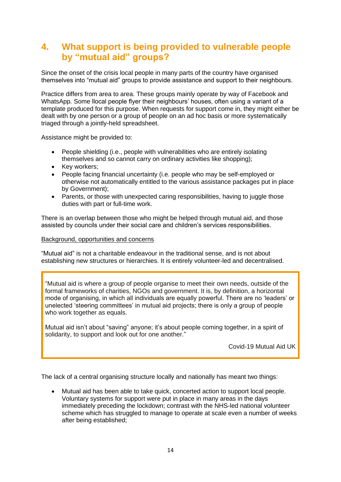# **4. What support is being provided to vulnerable people by "mutual aid" groups?**

Since the onset of the crisis local people in many parts of the country have organised themselves into "mutual aid" groups to provide assistance and support to their neighbours.

Practice differs from area to area. These groups mainly operate by way of Facebook and WhatsApp. Some llocal people flyer their neighbours' houses, often using a variant of a template produced for this purpose. When requests for support come in, they might either be dealt with by one person or a group of people on an ad hoc basis or more systematically triaged through a jointly-held spreadsheet.

Assistance might be provided to:

- People shielding (i.e., people with vulnerabilities who are entirely isolating themselves and so cannot carry on ordinary activities like shopping);
- Key workers;
- People facing financial uncertainty (i.e. people who may be self-employed or otherwise not automatically entitled to the various assistance packages put in place by Government);
- Parents, or those with unexpected caring responsibilities, having to juggle those duties with part or full-time work.

There is an overlap between those who might be helped through mutual aid, and those assisted by councils under their social care and children's services responsibilities.

#### Background, opportunities and concerns

"Mutual aid" is not a charitable endeavour in the traditional sense, and is not about establishing new structures or hierarchies. It is entirely volunteer-led and decentralised.

"Mutual aid is where a group of people organise to meet their own needs, outside of the formal frameworks of charities, NGOs and government. It is, by definition, a horizontal mode of organising, in which all individuals are equally powerful. There are no 'leaders' or unelected 'steering committees' in mutual aid projects; there is only a group of people who work together as equals.

Mutual aid isn't about "saving" anyone; it's about people coming together, in a spirit of solidarity, to support and look out for one another."

Covid-19 Mutual Aid UK

The lack of a central organising structure locally and nationally has meant two things:

• Mutual aid has been able to take quick, concerted action to support local people. Voluntary systems for support were put in place in many areas in the days immediately preceding the lockdown; contrast with the NHS-led national volunteer scheme which has struggled to manage to operate at scale even a number of weeks after being established;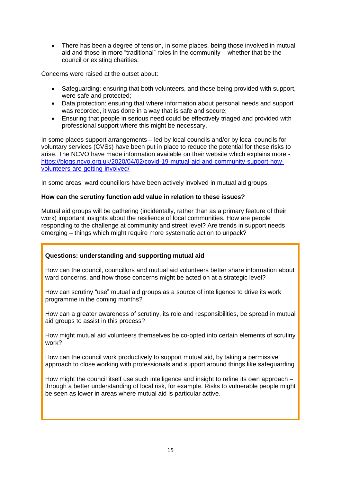• There has been a degree of tension, in some places, being those involved in mutual aid and those in more "traditional" roles in the community – whether that be the council or existing charities.

Concerns were raised at the outset about:

- Safeguarding: ensuring that both volunteers, and those being provided with support, were safe and protected;
- Data protection: ensuring that where information about personal needs and support was recorded, it was done in a way that is safe and secure;
- Ensuring that people in serious need could be effectively triaged and provided with professional support where this might be necessary.

In some places support arrangements – led by local councils and/or by local councils for voluntary services (CVSs) have been put in place to reduce the potential for these risks to arise. The NCVO have made information available on their website which explains more [https://blogs.ncvo.org.uk/2020/04/02/covid-19-mutual-aid-and-community-support-how](https://blogs.ncvo.org.uk/2020/04/02/covid-19-mutual-aid-and-community-support-how-volunteers-are-getting-involved/)[volunteers-are-getting-involved/](https://blogs.ncvo.org.uk/2020/04/02/covid-19-mutual-aid-and-community-support-how-volunteers-are-getting-involved/)

In some areas, ward councillors have been actively involved in mutual aid groups.

#### **How can the scrutiny function add value in relation to these issues?**

Mutual aid groups will be gathering (incidentally, rather than as a primary feature of their work) important insights about the resilience of local communities. How are people responding to the challenge at community and street level? Are trends in support needs emerging – things which might require more systematic action to unpack?

### **Questions: understanding and supporting mutual aid**

How can the council, councillors and mutual aid volunteers better share information about ward concerns, and how those concerns might be acted on at a strategic level?

How can scrutiny "use" mutual aid groups as a source of intelligence to drive its work programme in the coming months?

How can a greater awareness of scrutiny, its role and responsibilities, be spread in mutual aid groups to assist in this process?

How might mutual aid volunteers themselves be co-opted into certain elements of scrutiny work?

How can the council work productively to support mutual aid, by taking a permissive approach to close working with professionals and support around things like safeguarding

How might the council itself use such intelligence and insight to refine its own approach – through a better understanding of local risk, for example. Risks to vulnerable people might be seen as lower in areas where mutual aid is particular active.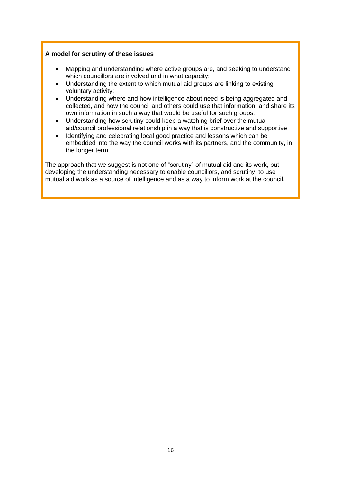# **A model for scrutiny of these issues**

- Mapping and understanding where active groups are, and seeking to understand which councillors are involved and in what capacity;
- Understanding the extent to which mutual aid groups are linking to existing voluntary activity;
- Understanding where and how intelligence about need is being aggregated and collected, and how the council and others could use that information, and share its own information in such a way that would be useful for such groups;
- Understanding how scrutiny could keep a watching brief over the mutual aid/council professional relationship in a way that is constructive and supportive;
- Identifying and celebrating local good practice and lessons which can be embedded into the way the council works with its partners, and the community, in the longer term.

The approach that we suggest is not one of "scrutiny" of mutual aid and its work, but developing the understanding necessary to enable councillors, and scrutiny, to use mutual aid work as a source of intelligence and as a way to inform work at the council.